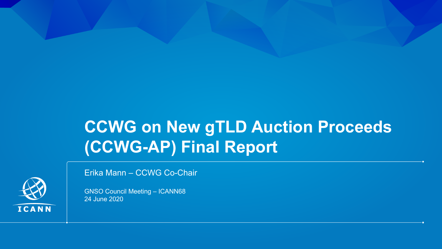# **CCWG on New gTLD Auction Proceeds (CCWG-AP) Final Report**



24 June 2020

GNSO Council Meeting – ICANN68

Erika Mann – CCWG Co-Chair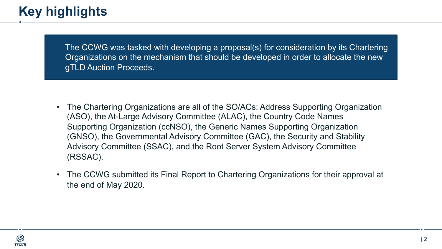## **Key highlights**

The CCWG was tasked with developing a proposal(s) for consideration by its Chartering Organizations on the mechanism that should be developed in order to allocate the new gTLD Auction Proceeds.

- The Chartering Organizations are all of the SO/ACs: Address Supporting Organization (ASO), the At-Large Advisory Committee (ALAC), the Country Code Names Supporting Organization (ccNSO), the Generic Names Supporting Organization (GNSO), the Governmental Advisory Committee (GAC), the Security and Stability Advisory Committee (SSAC), and the Root Server System Advisory Committee (RSSAC).
- The CCWG submitted its Final Report to Chartering Organizations for their approval at the end of May 2020.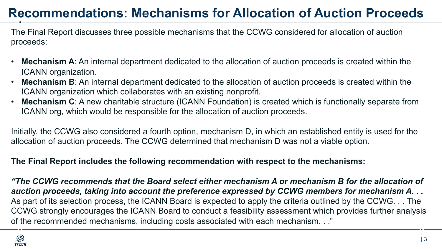## **Recommendations: Mechanisms for Allocation of Auction Proceeds**

The Final Report discusses three possible mechanisms that the CCWG considered for allocation of auction proceeds:

- $\Lambda$  An internal department dedicated to the allocation of quetien preceeds is erested with partition auxiliary appartition • **Mechanism A**: An internal department dedicated to the allocation of auction proceeds is created within the ICANN organization.
- **Mechanism B**: An internal department dedicated to the allocation of auction proceeds is created within the ICANN organization which collaborates with an existing nonprofit.
- **Mechanism C**: A new charitable structure (ICANN Foundation) is created which is functionally separate from ICANN org, which would be responsible for the allocation of auction proceeds.

Initially, the CCWG also considered a fourth option, mechanism D, in which an established entity is used for the allocation of auction proceeds. The CCWG determined that mechanism D was not a viable option.

#### **The Final Report includes the following recommendation with respect to the mechanisms:**

*"The CCWG recommends that the Board select either mechanism A or mechanism B for the allocation of auction proceeds, taking into account the preference expressed by CCWG members for mechanism A. . .* As part of its selection process, the ICANN Board is expected to apply the criteria outlined by the CCWG. . . The CCWG strongly encourages the ICANN Board to conduct a feasibility assessment which provides further analysis of the recommended mechanisms, including costs associated with each mechanism. . ."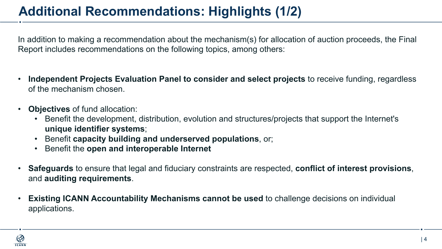# **Additional Recommendations: Highlights (1/2)**

In addition to making a recommendation about the mechanism(s) for allocation of auction proceeds, the Final Report includes recommendations on the following topics, among others:

- **Independent Projects Evaluation Panel to consider and select projects** to receive funding, regardless of the mechanism chosen.
- **Objectives** of fund allocation:
	- Benefit the development, distribution, evolution and structures/projects that support the Internet's **unique identifier systems**;
	- Benefit **capacity building and underserved populations**, or;
	- Benefit the **open and interoperable Internet**
- **Safeguards** to ensure that legal and fiduciary constraints are respected, **conflict of interest provisions**, and **auditing requirements**.
- **Existing ICANN Accountability Mechanisms cannot be used** to challenge decisions on individual applications.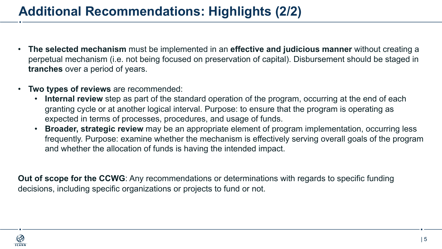## **Additional Recommendations: Highlights (2/2)**

- **The selected mechanism** must be implemented in an **effective and judicious manner** without creating a perpetual mechanism (i.e. not being focused on preservation of capital). Disbursement should be staged in **tranches** over a period of years.
- **Two types of reviews** are recommended:
	- **Internal review** step as part of the standard operation of the program, occurring at the end of each granting cycle or at another logical interval. Purpose: to ensure that the program is operating as expected in terms of processes, procedures, and usage of funds.
	- **Broader, strategic review** may be an appropriate element of program implementation, occurring less frequently. Purpose: examine whether the mechanism is effectively serving overall goals of the program and whether the allocation of funds is having the intended impact.

**Out of scope for the CCWG**: Any recommendations or determinations with regards to specific funding decisions, including specific organizations or projects to fund or not.

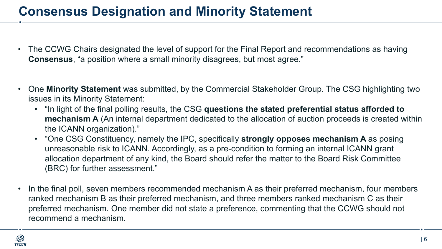#### **Consensus Designation and Minority Statement**

- The CCWG Chairs designated the level of support for the Final Report and recommendations as having **Consensus**, "a position where a small minority disagrees, but most agree."
- One **Minority Statement** was submitted, by the Commercial Stakeholder Group. The CSG highlighting two issues in its Minority Statement:
	- "In light of the final polling results, the CSG **questions the stated preferential status afforded to mechanism A** (An internal department dedicated to the allocation of auction proceeds is created within the ICANN organization)."
	- "One CSG Constituency, namely the IPC, specifically **strongly opposes mechanism A** as posing unreasonable risk to ICANN. Accordingly, as a pre-condition to forming an internal ICANN grant allocation department of any kind, the Board should refer the matter to the Board Risk Committee (BRC) for further assessment."
- In the final poll, seven members recommended mechanism A as their preferred mechanism, four members ranked mechanism B as their preferred mechanism, and three members ranked mechanism C as their preferred mechanism. One member did not state a preference, commenting that the CCWG should not recommend a mechanism.